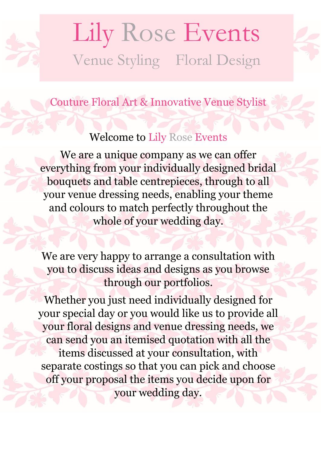



Couture Floral Art & Innovative Venue Stylist

### Welcome to Lily Rose Events

We are a unique company as we can offer everything from your individually designed bridal bouquets and table centrepieces, through to all your venue dressing needs, enabling your theme and colours to match perfectly throughout the whole of your wedding day.

We are very happy to arrange a consultation with you to discuss ideas and designs as you browse through our portfolios.

Whether you just need individually designed for your special day or you would like us to provide all your floral designs and venue dressing needs, we can send you an itemised quotation with all the items discussed at your consultation, with separate costings so that you can pick and choose off your proposal the items you decide upon for your wedding day.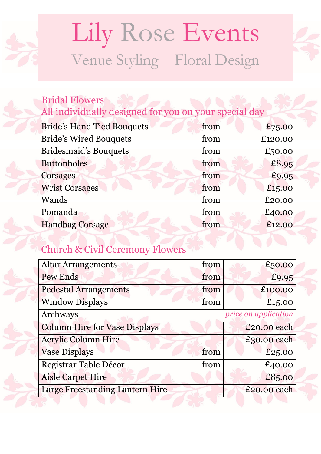# Lily Rose Events Venue Styling Floral Design

#### Bridal Flowers All individually designed for you on your special day

| <b>Bride's Hand Tied Bouquets</b> | from | £75.00  |
|-----------------------------------|------|---------|
| <b>Bride's Wired Bouquets</b>     | from | £120.00 |
| <b>Bridesmaid's Bouquets</b>      | from | £50.00  |
| <b>Buttonholes</b>                | from | £8.95   |
| Corsages                          | from | £9.95   |
| <b>Wrist Corsages</b>             | from | £15.00  |
| Wands                             | from | £20.00  |
| Pomanda                           | from | £40.00  |
| <b>Handbag Corsage</b>            | from | £12.00  |
|                                   |      |         |

#### Church & Civil Ceremony Flowers

| <b>Altar Arrangements</b>            | from | £50.00               |
|--------------------------------------|------|----------------------|
| Pew Ends                             | from | £9.95                |
| <b>Pedestal Arrangements</b>         | from | £100.00              |
| <b>Window Displays</b>               | from | £15.00               |
| Archways                             |      | price on application |
| <b>Column Hire for Vase Displays</b> |      | £20.00 each          |
| <b>Acrylic Column Hire</b>           |      | £30.00 each          |
| <b>Vase Displays</b>                 | from | £25.00               |
| Registrar Table Décor                | from | £40.00               |
| <b>Aisle Carpet Hire</b>             |      | £85.00               |
| Large Freestanding Lantern Hire      |      | £20.00 each          |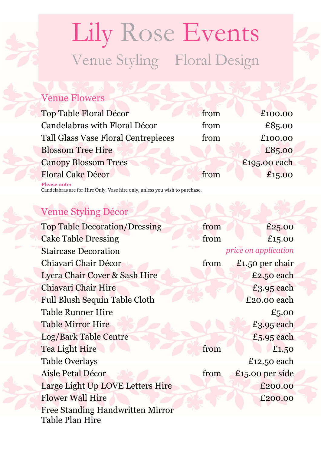# Lily Rose Events Venue Styling Floral Design

#### Venue Flowers

| <b>Top Table Floral Décor</b>       | from | £100.00      |
|-------------------------------------|------|--------------|
| Candelabras with Floral Décor       | from | £85.00       |
| Tall Glass Vase Floral Centrepieces | from | £100.00      |
| <b>Blossom Tree Hire</b>            |      | £85.00       |
| <b>Canopy Blossom Trees</b>         |      | £195.00 each |
| Floral Cake Décor                   | from | £15.00       |
| <b>Please note:</b>                 |      |              |

Candelabras are for Hire Only. Vase hire only, unless you wish to purchase.

### Venue Styling Décor

| <b>Top Table Decoration/Dressing</b> | from | £25.00               |
|--------------------------------------|------|----------------------|
| <b>Cake Table Dressing</b>           | from | £15.00               |
| <b>Staircase Decoration</b>          |      | price on application |
| Chiavari Chair Décor                 | from | £1.50 per chair      |
| Lycra Chair Cover & Sash Hire        |      | £2.50 each           |
| Chiavari Chair Hire                  |      | £3.95 each           |
| <b>Full Blush Sequin Table Cloth</b> |      | £20.00 each          |
| <b>Table Runner Hire</b>             |      | £5.00                |
| <b>Table Mirror Hire</b>             |      | £3.95 each           |
| Log/Bark Table Centre                |      | $£5.95$ each         |
| Tea Light Hire                       | from | £1.50                |
| <b>Table Overlays</b>                |      | £12.50 each          |
| Aisle Petal Décor                    | from | £15.00 per side      |
| Large Light Up LOVE Letters Hire     |      | £200.00              |
| <b>Flower Wall Hire</b>              |      | £200.00              |
| Free Standing Handwritten Mirror     |      |                      |
| Table Plan Hire                      |      |                      |